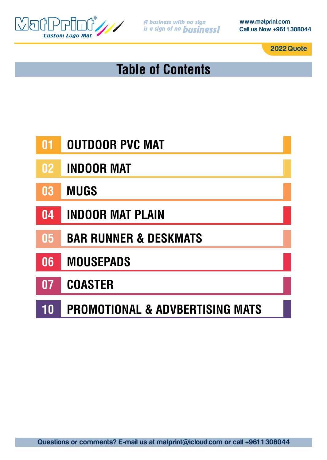

**www.matprint.com Call us Now +961 1 308044**

**2022 Quote**

# **Table of Contents**

- **01 OUTDOOR PVC MAT**
- **02 INDOOR MAT**
- **03 MUGS**
- **04 INDOOR MAT PLAIN**
- **05 BAR RUNNER & DESKMATS**
- **06 MOUSEPADS**
- **07 COASTER**
- **10 PROMOTIONAL & ADVBERTISING MATS**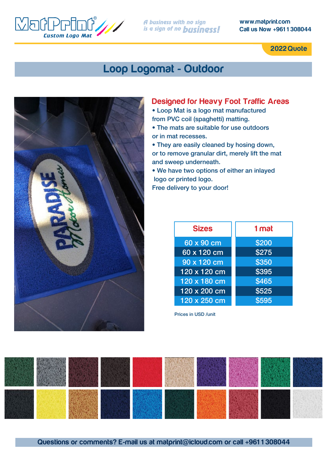

**www.matprint.com Call us Now +961 1 308044**

**2022 Quote**

### **Loop Logomat - Outdoor**



#### **Designed for Heavy Foot Traffic Areas**

• Loop Mat is a logo mat manufactured from PVC coil (spaghetti) matting.

• The mats are suitable for use outdoors or in mat recesses.

• They are easily cleaned by hosing down, or to remove granular dirt, merely lift the mat and sweep underneath.

• We have two options of either an inlayed logo or printed logo. Free delivery to your door!

| <b>Sizes</b>        | 1 mat |  |
|---------------------|-------|--|
| 60 x 90 cm          | \$200 |  |
| 60 x 120 cm         | \$275 |  |
| 90 x 120 cm         | \$350 |  |
| $120 \times 120$ cm | \$395 |  |
| 120 x 180 cm        | \$465 |  |
| $120 \times 200$ cm | \$525 |  |
| 120 x 250 cm        | \$595 |  |

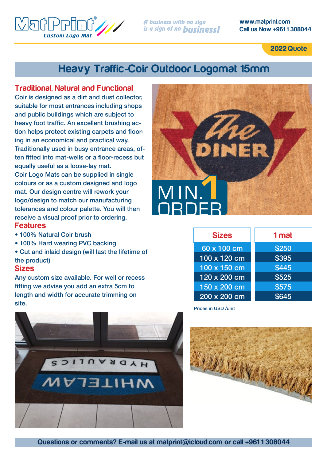**www.matprint.com Call us Now +961 1 308044**

**2022 Quote**

### **Heavy Traffic-Coir Outdoor Logomat 15mm**

#### **Traditional, Natural and Functional**

**Custom Logo Mai** 

Coir is designed as a dirt and dust collector, suitable for most entrances including shops and public buildings which are subject to heavy foot traffic. An excellent brushing action helps protect existing carpets and flooring in an economical and practical way. Traditionally used in busy entrance areas, often fitted into mat-wells or a floor-recess but equally useful as a loose-lay mat. Coir Logo Mats can be supplied in single colours or as a custom designed and logo mat. Our design centre will rework your logo/design to match our manufacturing tolerances and colour palette. You will then receive a visual proof prior to ordering.

#### **Features**

 $\sqrt{5}$ 

- 100% Natural Coir brush
- 100% Hard wearing PVC backing
- Cut and inlaid design (will last the lifetime of the product)

#### **Sizes**

Any custom size available. For well or recess fitting we advise you add an extra 5cm to length and width for accurate trimming on site.



| <b>Sizes</b>        | 1 mat |  |
|---------------------|-------|--|
| 60 x 100 cm         | \$250 |  |
| 100 x 120 cm        | \$395 |  |
| 100 x 150 cm        | \$445 |  |
| $120 \times 200$ cm | \$525 |  |
| 150 x 200 cm        | \$575 |  |
| 200 x 200 cm        | \$645 |  |



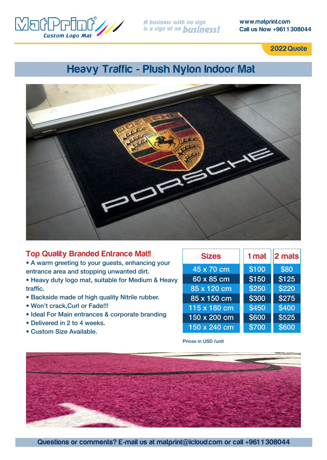

**www.matprint.com Call us Now +961 1 308044**

**2022 Quote**

### **Heavy Traffic - Plush Nylon Indoor Mat**



#### **Top Quality Branded Entrance Mat!!**

• A warm greeting to your guests, enhancing your entrance area and stopping unwanted dirt.

• Heavy duty logo mat, suitable for Medium & Heavy traffic.

- Backside made of high quality Nitrile rubber.
- Won't crack,Curl or Fade!!!
- Ideal For Main entrances & corporate branding
- Delivered in 2 to 4 weeks.
- Custom Size Available.

| <b>Sizes</b>      | 1 mat | $  2 \text{ mals}$ |
|-------------------|-------|--------------------|
| 45 x 70 cm        | \$100 | \$80               |
| $60 \times 85$ cm | \$150 | \$125              |
| 85 x 120 cm       | \$250 | \$220              |
| 85 x 150 cm       | \$300 | \$275              |
| 115 x 180 cm      | \$450 | \$400              |
| 150 x 200 cm      | \$600 | \$525              |
| 150 x 240 cm      | \$700 | \$600              |

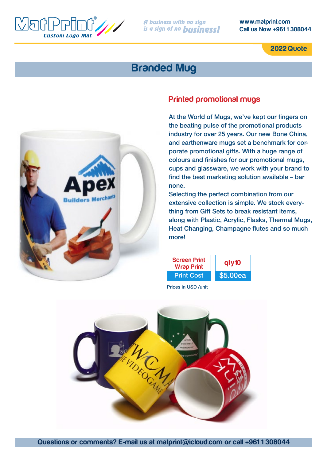

**www.matprint.com Call us Now +961 1 308044**

**2022 Quote**

### **Branded Mug**



### **Printed promotional mugs**

At the World of Mugs, we've kept our fingers on the beating pulse of the promotional products industry for over 25 years. Our new Bone China, and earthenware mugs set a benchmark for corporate promotional gifts. With a huge range of colours and finishes for our promotional mugs, cups and glassware, we work with your brand to find the best marketing solution available – bar none.

Selecting the perfect combination from our extensive collection is simple. We stock everything from Gift Sets to break resistant items, along with Plastic, Acrylic, Flasks, Thermal Mugs, Heat Changing, Champagne flutes and so much more!



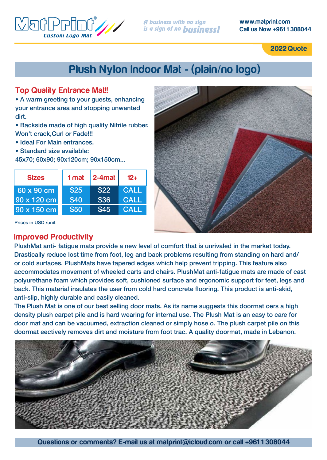

**www.matprint.com Call us Now +961 1 308044**

**2022 Quote**

## **Plush Nylon Indoor Mat - (plain/no logo)**

#### **Top Quality Entrance Mat!!**

• A warm greeting to your guests, enhancing your entrance area and stopping unwanted dirt.

- Backside made of high quality Nitrile rubber. Won't crack,Curl or Fade!!!
- Ideal For Main entrances.
- Standard size available:

45x70; 60x90; 90x120cm; 90x150cm...

| <b>Sizes</b> | 1 mat | $ 2-4$ mat | $12+$       |
|--------------|-------|------------|-------------|
| 60 x 90 cm   | \$25  | \$22       | <b>CALL</b> |
| 90 x 120 cm  | \$40  | \$36       | <b>CALL</b> |
| 90 x 150 cm  | \$50  | \$45       | <b>CALL</b> |

Prices in USD /unit

#### **Improved Productivity**

PlushMat anti- fatigue mats provide a new level of comfort that is unrivaled in the market today. Drastically reduce lost time from foot, leg and back problems resulting from standing on hard and/ or cold surfaces. PlushMats have tapered edges which help prevent tripping. This feature also accommodates movement of wheeled carts and chairs. PlushMat anti-fatigue mats are made of cast polyurethane foam which provides soft, cushioned surface and ergonomic support for feet, legs and back. This material insulates the user from cold hard concrete flooring. This product is anti-skid, anti-slip, highly durable and easily cleaned.

The Plush Mat is one of our best selling door mats. As its name suggests this doormat oers a high density plush carpet pile and is hard wearing for internal use. The Plush Mat is an easy to care for door mat and can be vacuumed, extraction cleaned or simply hose o. The plush carpet pile on this doormat eectively removes dirt and moisture from foot trac. A quality doormat, made in Lebanon.

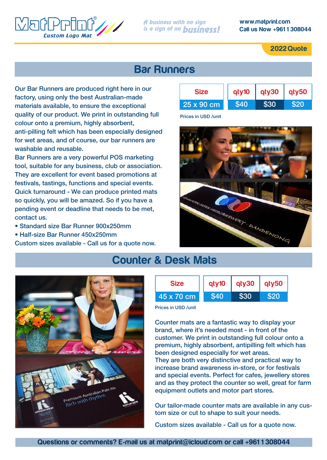

#### **www.matprint.com Call us Now +961 1 308044**

**2022 Quote**

### **Bar Runners**

Our Bar Runners are produced right here in our factory, using only the best Australian-made materials available, to ensure the exceptional quality of our product. We print in outstanding full colour onto a premium, highly absorbent, anti-pilling felt which has been especially designed for wet areas, and of course, our bar runners are washable and reusable.

Bar Runners are a very powerful POS marketing tool, suitable for any business, club or association. They are excellent for event based promotions at festivals, tastings, functions and special events. Quick turnaround - We can produce printed mats so quickly, you will be amazed. So if you have a pending event or deadline that needs to be met, contact us.

- Standard size Bar Runner 900x250mm
- Half-size Bar Runner 450x250mm

Custom sizes available - Call us for a quote now.



Prices in USD /unit



### **Counter & Desk Mats**



Prices in USD /unit

Counter mats are a fantastic way to display your brand, where it's needed most - in front of the customer. We print in outstanding full colour onto a premium, highly absorbent, antipilling felt which has been designed especially for wet areas. They are both very distinctive and practical way to increase brand awareness in-store, or for festivals and special events. Perfect for cafes, jewellery stores and as they protect the counter so well, great for farm equipment outlets and motor part stores.

Our tailor-made counter mats are available in any custom size or cut to shape to suit your needs.

Custom sizes available - Call us for a quote now.



**Questions or comments? E-mail us at matprint@icloud.com or call +961 1 308044**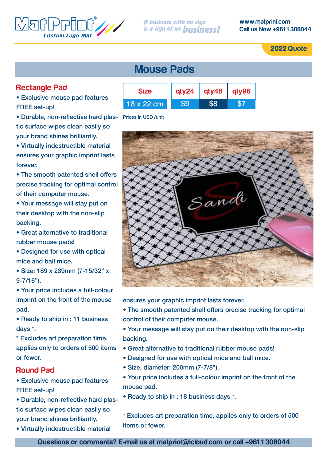

**2022 Quote**

#### **Rectangle Pad**

• Exclusive mouse pad features FREE set-up!

• Durable, non-reflective hard plastic surface wipes clean easily so your brand shines brilliantly.

• Virtually indestructible material ensures your graphic imprint lasts forever.

• The smooth patented shell offers precise tracking for optimal control of their computer mouse.

• Your message will stay put on their desktop with the non-slip backing.

• Great alternative to traditional rubber mouse pads!

• Designed for use with optical mice and ball mice.

• Size: 189 x 239mm (7-15/32" x 9-7/16").

• Your price includes a full-colour imprint on the front of the mouse pad.

• Ready to ship in : 11 business days \*.

\* Excludes art preparation time, applies only to orders of 500 items or fewer.

#### **Round Pad**

• Exclusive mouse pad features FREE set-up!

- Durable, non-reflective hard plastic surface wipes clean easily so your brand shines brilliantly.
- Virtually indestructible material

### **Mouse Pads**



Prices in USD /unit



ensures your graphic imprint lasts forever.

- The smooth patented shell offers precise tracking for optimal control of their computer mouse.
- Your message will stay put on their desktop with the non-slip backing.
- Great alternative to traditional rubber mouse pads!
- Designed for use with optical mice and ball mice.
- Size, diameter: 200mm (7-7/8").
- Your price includes a full-colour imprint on the front of the mouse pad.
- Ready to ship in : 18 business days \*.

\* Excludes art preparation time, applies only to orders of 500 items or fewer.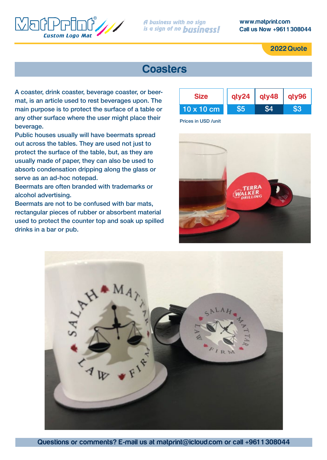

**www.matprint.com Call us Now +961 1 308044**

**2022 Quote**

### **Coasters**

A coaster, drink coaster, beverage coaster, or beermat, is an article used to rest beverages upon. The main purpose is to protect the surface of a table or any other surface where the user might place their beverage.

Public houses usually will have beermats spread out across the tables. They are used not just to protect the surface of the table, but, as they are usually made of paper, they can also be used to absorb condensation dripping along the glass or serve as an ad-hoc notepad.

Beermats are often branded with trademarks or alcohol advertising.

Beermats are not to be confused with bar mats, rectangular pieces of rubber or absorbent material used to protect the counter top and soak up spilled drinks in a bar or pub.